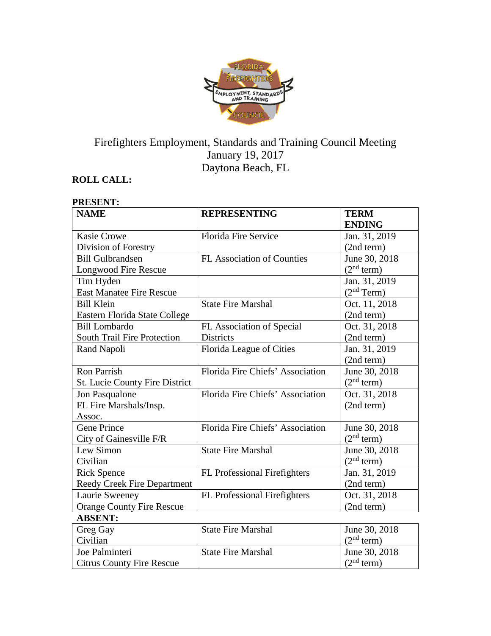

# Firefighters Employment, Standards and Training Council Meeting January 19, 2017 Daytona Beach, FL

# **ROLL CALL:**

| <b>NAME</b>                        | <b>REPRESENTING</b>               | <b>TERM</b><br><b>ENDING</b> |
|------------------------------------|-----------------------------------|------------------------------|
| <b>Kasie Crowe</b>                 | <b>Florida Fire Service</b>       | Jan. 31, 2019                |
| Division of Forestry               |                                   | (2nd term)                   |
| <b>Bill Gulbrandsen</b>            | <b>FL Association of Counties</b> | June 30, 2018                |
| Longwood Fire Rescue               |                                   | (2 <sup>nd</sup> term)       |
| Tim Hyden                          |                                   | Jan. 31, 2019                |
| <b>East Manatee Fire Rescue</b>    |                                   | (2 <sup>nd</sup> Term)       |
| <b>Bill Klein</b>                  | <b>State Fire Marshal</b>         | Oct. 11, 2018                |
| Eastern Florida State College      |                                   | (2nd term)                   |
| <b>Bill Lombardo</b>               | FL Association of Special         | Oct. 31, 2018                |
| South Trail Fire Protection        | <b>Districts</b>                  | (2nd term)                   |
| Rand Napoli                        | Florida League of Cities          | Jan. 31, 2019                |
|                                    |                                   | (2nd term)                   |
| <b>Ron Parrish</b>                 | Florida Fire Chiefs' Association  | June 30, 2018                |
| St. Lucie County Fire District     |                                   | (2 <sup>nd</sup> term)       |
| Jon Pasqualone                     | Florida Fire Chiefs' Association  | Oct. 31, 2018                |
| FL Fire Marshals/Insp.             |                                   | (2nd term)                   |
| Assoc.                             |                                   |                              |
| <b>Gene Prince</b>                 | Florida Fire Chiefs' Association  | June 30, 2018                |
| City of Gainesville F/R            |                                   | (2 <sup>nd</sup> term)       |
| Lew Simon                          | <b>State Fire Marshal</b>         | June 30, 2018                |
| Civilian                           |                                   | (2 <sup>nd</sup> term)       |
| <b>Rick Spence</b>                 | FL Professional Firefighters      | Jan. 31, 2019                |
| <b>Reedy Creek Fire Department</b> |                                   | (2nd term)                   |
| Laurie Sweeney                     | FL Professional Firefighters      | Oct. 31, 2018                |
| <b>Orange County Fire Rescue</b>   |                                   | (2nd term)                   |
| <b>ABSENT:</b>                     |                                   |                              |
| Greg Gay                           | <b>State Fire Marshal</b>         | June 30, 2018                |
| Civilian                           |                                   | (2 <sup>nd</sup> term)       |
| Joe Palminteri                     | <b>State Fire Marshal</b>         | June 30, 2018                |
| <b>Citrus County Fire Rescue</b>   |                                   | (2 <sup>nd</sup> term)       |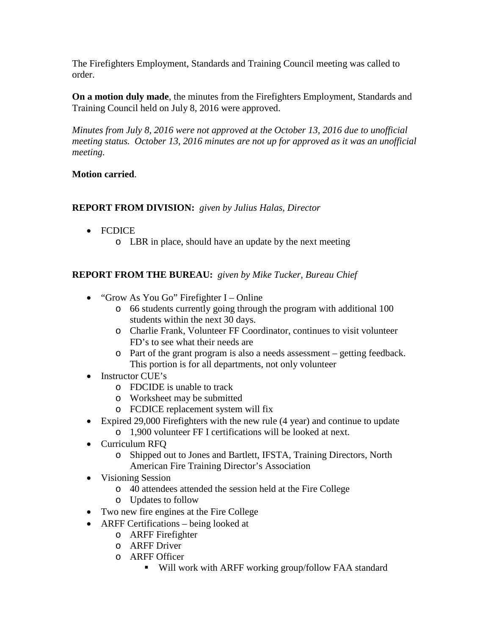The Firefighters Employment, Standards and Training Council meeting was called to order.

**On a motion duly made**, the minutes from the Firefighters Employment, Standards and Training Council held on July 8, 2016 were approved.

*Minutes from July 8, 2016 were not approved at the October 13, 2016 due to unofficial meeting status. October 13, 2016 minutes are not up for approved as it was an unofficial meeting.*

## **Motion carried**.

## **REPORT FROM DIVISION:** *given by Julius Halas, Director*

- FCDICE
	- o LBR in place, should have an update by the next meeting

# **REPORT FROM THE BUREAU:** *given by Mike Tucker, Bureau Chief*

- "Grow As You Go" Firefighter I Online
	- o 66 students currently going through the program with additional 100 students within the next 30 days.
	- o Charlie Frank, Volunteer FF Coordinator, continues to visit volunteer FD's to see what their needs are
	- o Part of the grant program is also a needs assessment getting feedback. This portion is for all departments, not only volunteer
- Instructor CUE's
	- o FDCIDE is unable to track
	- o Worksheet may be submitted
	- o FCDICE replacement system will fix
- Expired 29,000 Firefighters with the new rule (4 year) and continue to update
	- o 1,900 volunteer FF I certifications will be looked at next.
- Curriculum RFQ
	- o Shipped out to Jones and Bartlett, IFSTA, Training Directors, North American Fire Training Director's Association
- Visioning Session
	- o 40 attendees attended the session held at the Fire College
	- o Updates to follow
- Two new fire engines at the Fire College
- ARFF Certifications being looked at
	- o ARFF Firefighter
	- o ARFF Driver
	- o ARFF Officer
		- Will work with ARFF working group/follow FAA standard